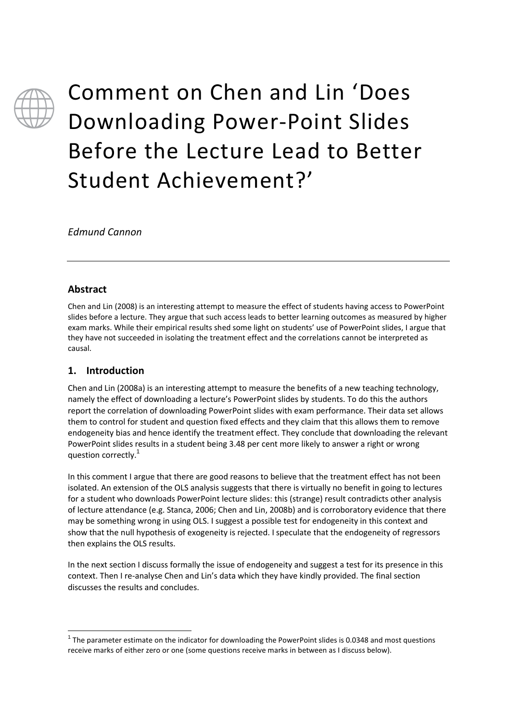

# Comment on Chen and Lin 'Does Downloading Power-Point Slides Before the Lecture Lead to Better Student Achievement?'

Edmund Cannon

#### Abstract

Chen and Lin (2008) is an interesting attempt to measure the effect of students having access to PowerPoint slides before a lecture. They argue that such access leads to better learning outcomes as measured by higher exam marks. While their empirical results shed some light on students' use of PowerPoint slides, I argue that they have not succeeded in isolating the treatment effect and the correlations cannot be interpreted as causal.

### 1. Introduction

Chen and Lin (2008a) is an interesting attempt to measure the benefits of a new teaching technology, namely the effect of downloading a lecture's PowerPoint slides by students. To do this the authors report the correlation of downloading PowerPoint slides with exam performance. Their data set allows them to control for student and question fixed effects and they claim that this allows them to remove endogeneity bias and hence identify the treatment effect. They conclude that downloading the relevant PowerPoint slides results in a student being 3.48 per cent more likely to answer a right or wrong question correctly.<sup>1</sup>

In this comment I argue that there are good reasons to believe that the treatment effect has not been isolated. An extension of the OLS analysis suggests that there is virtually no benefit in going to lectures for a student who downloads PowerPoint lecture slides: this (strange) result contradicts other analysis of lecture attendance (e.g. Stanca, 2006; Chen and Lin, 2008b) and is corroboratory evidence that there may be something wrong in using OLS. I suggest a possible test for endogeneity in this context and show that the null hypothesis of exogeneity is rejected. I speculate that the endogeneity of regressors then explains the OLS results.

In the next section I discuss formally the issue of endogeneity and suggest a test for its presence in this context. Then I re-analyse Chen and Lin's data which they have kindly provided. The final section discusses the results and concludes.

 $1$  The parameter estimate on the indicator for downloading the PowerPoint slides is 0.0348 and most questions receive marks of either zero or one (some questions receive marks in between as I discuss below).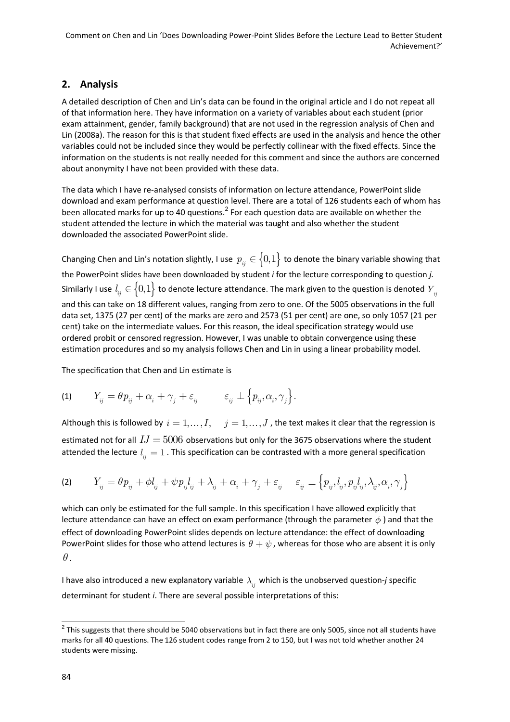## 2. Analysis

A detailed description of Chen and Lin's data can be found in the original article and I do not repeat all of that information here. They have information on a variety of variables about each student (prior exam attainment, gender, family background) that are not used in the regression analysis of Chen and Lin (2008a). The reason for this is that student fixed effects are used in the analysis and hence the other variables could not be included since they would be perfectly collinear with the fixed effects. Since the information on the students is not really needed for this comment and since the authors are concerned about anonymity I have not been provided with these data.

The data which I have re-analysed consists of information on lecture attendance, PowerPoint slide download and exam performance at question level. There are a total of 126 students each of whom has been allocated marks for up to 40 questions.<sup>2</sup> For each question data are available on whether the student attended the lecture in which the material was taught and also whether the student downloaded the associated PowerPoint slide.

Changing Chen and Lin's notation slightly, I use  $p_{ij} \in \{0,1\}$  to denote the binary variable showing that the PowerPoint slides have been downloaded by student *i* for the lecture corresponding to question *j*. Similarly I use  $l_{_{ij}}\in\left\{ 0,1\right\}$  to denote lecture attendance. The mark given to the question is denoted  $Y_{_{ij}}$ and this can take on 18 different values, ranging from zero to one. Of the 5005 observations in the full data set, 1375 (27 per cent) of the marks are zero and 2573 (51 per cent) are one, so only 1057 (21 per cent) take on the intermediate values. For this reason, the ideal specification strategy would use ordered probit or censored regression. However, I was unable to obtain convergence using these estimation procedures and so my analysis follows Chen and Lin in using a linear probability model.

The specification that Chen and Lin estimate is

$$
\textbf{(1)} \qquad Y_{\stackrel{\cdot}{ij}} = \theta p_{\stackrel{\cdot}{ij}} + \alpha_{\stackrel{\cdot}{i}} + \gamma_{\stackrel{\cdot}{j}} + \varepsilon_{\stackrel{\cdot}{ij}} \qquad \varepsilon_{\stackrel{\cdot}{ij}} \perp \left\{ p_{\stackrel{\cdot}{ij}}, \alpha_{\stackrel{\cdot}{i}}, \gamma_{\stackrel{\cdot}{j}} \right\}.
$$

Although this is followed by  $i = 1, ..., I, j = 1, ..., J$ , the text makes it clear that the regression is estimated not for all  $IJ = 5006$  observations but only for the 3675 observations where the student attended the lecture  $l_{ii} = 1$ . This specification can be contrasted with a more general specification

$$
\text{(2)} \qquad Y_{ij} = \theta p_{ij} + \phi l_{ij} + \psi p_{ij} l_{ij} + \lambda_{ij} + \alpha_i + \gamma_j + \varepsilon_{ij} \quad \varepsilon_{ij} \perp \left\{ p_{ij}, l_{ij}, p_{ij} l_{ij}, \lambda_{ij}, \alpha_i, \gamma_j \right\}
$$

which can only be estimated for the full sample. In this specification I have allowed explicitly that lecture attendance can have an effect on exam performance (through the parameter  $\phi$ ) and that the effect of downloading PowerPoint slides depends on lecture attendance: the effect of downloading PowerPoint slides for those who attend lectures is  $\theta + \psi$ , whereas for those who are absent it is only  $\theta$ .

I have also introduced a new explanatory variable  $\lambda_{_{ij}}$  which is the unobserved question-j specific determinant for student i. There are several possible interpretations of this:

 2 This suggests that there should be 5040 observations but in fact there are only 5005, since not all students have marks for all 40 questions. The 126 student codes range from 2 to 150, but I was not told whether another 24 students were missing.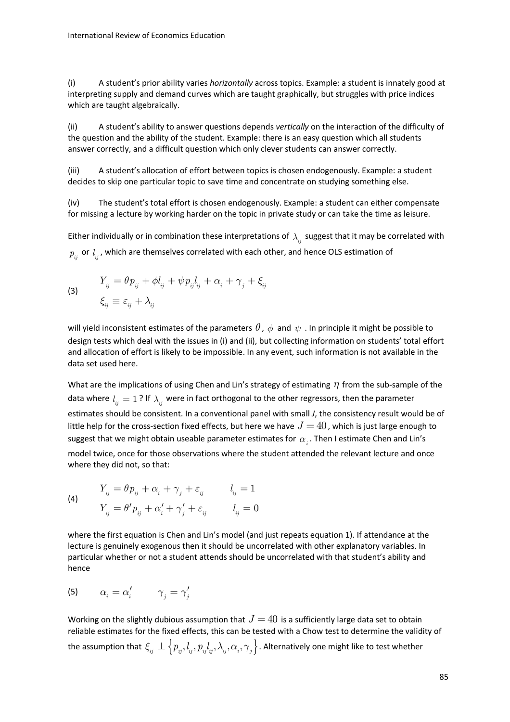(i) A student's prior ability varies horizontally across topics. Example: a student is innately good at interpreting supply and demand curves which are taught graphically, but struggles with price indices which are taught algebraically.

(ii) A student's ability to answer questions depends vertically on the interaction of the difficulty of the question and the ability of the student. Example: there is an easy question which all students answer correctly, and a difficult question which only clever students can answer correctly.

(iii) A student's allocation of effort between topics is chosen endogenously. Example: a student decides to skip one particular topic to save time and concentrate on studying something else.

(iv) The student's total effort is chosen endogenously. Example: a student can either compensate for missing a lecture by working harder on the topic in private study or can take the time as leisure.

Either individually or in combination these interpretations of  $\lambda_{_{ij}}$  suggest that it may be correlated with  $p_{_{ij}}$  or  $\,l_{_{ij}}$ , which are themselves correlated with each other, and hence OLS estimation of

(3) 
$$
Y_{ij} = \theta p_{ij} + \phi l_{ij} + \psi p_{ij} l_{ij} + \alpha_i + \gamma_j + \xi_{ij}
$$

$$
\xi_{ij} \equiv \varepsilon_{ij} + \lambda_{ij}
$$

will yield inconsistent estimates of the parameters  $\theta$ ,  $\phi$  and  $\psi$  . In principle it might be possible to design tests which deal with the issues in (i) and (ii), but collecting information on students' total effort and allocation of effort is likely to be impossible. In any event, such information is not available in the data set used here.

What are the implications of using Chen and Lin's strategy of estimating  $\eta$  from the sub-sample of the data where  $l_{_{ij}} = 1$  ? If  $\lambda_{_{ij}}$  were in fact orthogonal to the other regressors, then the parameter estimates should be consistent. In a conventional panel with small J, the consistency result would be of little help for the cross-section fixed effects, but here we have  $J = 40$  , which is just large enough to suggest that we might obtain useable parameter estimates for  $\alpha_{_i}.$  Then I estimate Chen and Lin's model twice, once for those observations where the student attended the relevant lecture and once where they did not, so that:

(4)

$$
Y_{ij} = \theta p_{ij} + \alpha_i + \gamma_j + \varepsilon_{ij} \qquad l_{ij} = 1
$$

$$
Y_{ij} = \theta' p_{ij} + \alpha'_i + \gamma'_j + \varepsilon_{ij} \qquad l_{ij} = 0
$$

where the first equation is Chen and Lin's model (and just repeats equation 1). If attendance at the lecture is genuinely exogenous then it should be uncorrelated with other explanatory variables. In particular whether or not a student attends should be uncorrelated with that student's ability and hence

$$
\alpha_i = \alpha'_i \qquad \gamma_j = \gamma'_j
$$

Working on the slightly dubious assumption that  $J = 40$  is a sufficiently large data set to obtain reliable estimates for the fixed effects, this can be tested with a Chow test to determine the validity of the assumption that  $\{\xi_{ij}\perp\left\{p_{ij},l_{ij},p_{ij}l_{ij},\lambda_{ij},\alpha_i,\gamma_j\right\}.$  Alternatively one might like to test whether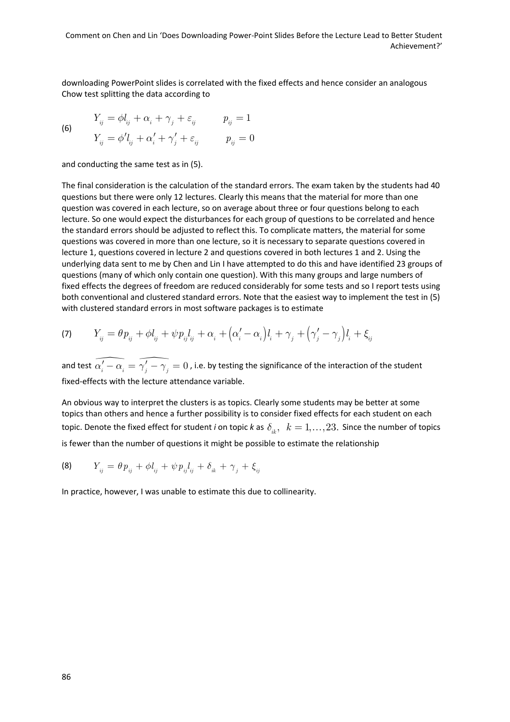downloading PowerPoint slides is correlated with the fixed effects and hence consider an analogous Chow test splitting the data according to

(6) 
$$
Y_{ij} = \phi l_{ij} + \alpha_i + \gamma_j + \varepsilon_{ij} \qquad p_{ij} = 1
$$

$$
Y_{ij} = \phi' l_{ij} + \alpha'_i + \gamma'_j + \varepsilon_{ij} \qquad p_{ij} = 0
$$

and conducting the same test as in (5).

The final consideration is the calculation of the standard errors. The exam taken by the students had 40 questions but there were only 12 lectures. Clearly this means that the material for more than one question was covered in each lecture, so on average about three or four questions belong to each lecture. So one would expect the disturbances for each group of questions to be correlated and hence the standard errors should be adjusted to reflect this. To complicate matters, the material for some questions was covered in more than one lecture, so it is necessary to separate questions covered in lecture 1, questions covered in lecture 2 and questions covered in both lectures 1 and 2. Using the underlying data sent to me by Chen and Lin I have attempted to do this and have identified 23 groups of questions (many of which only contain one question). With this many groups and large numbers of fixed effects the degrees of freedom are reduced considerably for some tests and so I report tests using both conventional and clustered standard errors. Note that the easiest way to implement the test in (5) with clustered standard errors in most software packages is to estimate

$$
(7) \qquad Y_{ij} = \theta p_{ij} + \phi l_{ij} + \psi p_{ij} l_{ij} + \alpha_i + (\alpha'_i - \alpha_i) l_i + \gamma_j + (\gamma'_j - \gamma_j) l_i + \xi_{ij}
$$

and test  $\overline{\alpha'_{i} - \alpha_{i}} = \overline{\gamma'_{i} - \gamma_{i}}$  $\alpha'_i - \alpha_{_i} = \gamma'_j - \gamma_{_j} = 0$  , i.e. by testing the significance of the interaction of the student fixed-effects with the lecture attendance variable.

An obvious way to interpret the clusters is as topics. Clearly some students may be better at some topics than others and hence a further possibility is to consider fixed effects for each student on each topic. Denote the fixed effect for student i on topic k as  $\delta_{ik}$ ,  $k = 1, ..., 23$ . Since the number of topics is fewer than the number of questions it might be possible to estimate the relationship

(8) 
$$
Y_{ij} = \theta p_{ij} + \phi l_{ij} + \psi p_{ij} l_{ij} + \delta_{ik} + \gamma_j + \xi_{ij}
$$

In practice, however, I was unable to estimate this due to collinearity.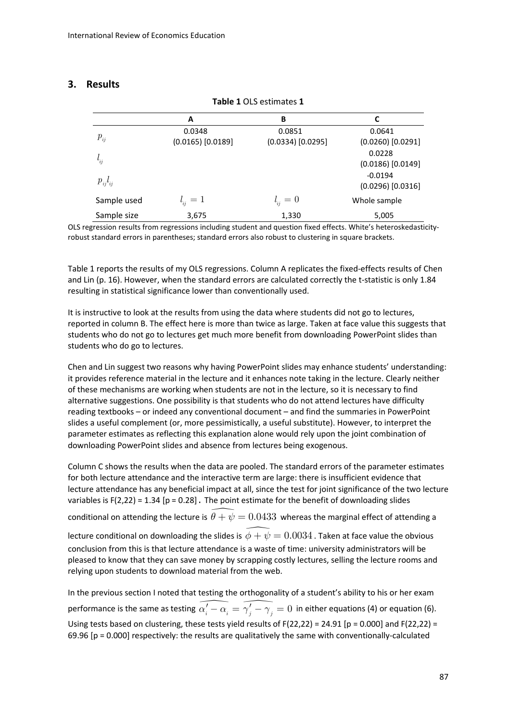#### 3. Results

|                | A                   | В                   | C                   |
|----------------|---------------------|---------------------|---------------------|
| $p_{ij}$       | 0.0348              | 0.0851              | 0.0641              |
|                | $(0.0165)$ [0.0189] | $(0.0334)$ [0.0295] | $(0.0260)$ [0.0291] |
|                |                     |                     | 0.0228              |
| $l_{ij}$       |                     |                     | $(0.0186)$ [0.0149] |
|                |                     |                     | $-0.0194$           |
| $p_{ii}l_{ii}$ |                     |                     | $(0.0296)$ [0.0316] |
| Sample used    | $l_{ij} = 1$        | $l_{ij} = 0$        | Whole sample        |
| Sample size    | 3,675               | 1,330               | 5,005               |

Table 1 OLS estimates 1

OLS regression results from regressions including student and question fixed effects. White's heteroskedasticityrobust standard errors in parentheses; standard errors also robust to clustering in square brackets.

Table 1 reports the results of my OLS regressions. Column A replicates the fixed-effects results of Chen and Lin (p. 16). However, when the standard errors are calculated correctly the t-statistic is only 1.84 resulting in statistical significance lower than conventionally used.

It is instructive to look at the results from using the data where students did not go to lectures, reported in column B. The effect here is more than twice as large. Taken at face value this suggests that students who do not go to lectures get much more benefit from downloading PowerPoint slides than students who do go to lectures.

Chen and Lin suggest two reasons why having PowerPoint slides may enhance students' understanding: it provides reference material in the lecture and it enhances note taking in the lecture. Clearly neither of these mechanisms are working when students are not in the lecture, so it is necessary to find alternative suggestions. One possibility is that students who do not attend lectures have difficulty reading textbooks – or indeed any conventional document – and find the summaries in PowerPoint slides a useful complement (or, more pessimistically, a useful substitute). However, to interpret the parameter estimates as reflecting this explanation alone would rely upon the joint combination of downloading PowerPoint slides and absence from lectures being exogenous.

Column C shows the results when the data are pooled. The standard errors of the parameter estimates for both lecture attendance and the interactive term are large: there is insufficient evidence that lecture attendance has any beneficial impact at all, since the test for joint significance of the two lecture variables is  $F(2,22) = 1.34$  [p = 0.28]. The point estimate for the benefit of downloading slides variables is F(2,22) = 1.34 [p = 0.28]. The point estimate for the benefit of downloading slides<br>conditional on attending the lecture is  $\widehat{\theta + \psi} = 0.0433$  whereas the marginal effect of attending a conditional on attending the lecture is  $v + \varphi = 0.0433$  whereas the marginal effect or attending a<br>lecture conditional on downloading the slides is  $\phi + \psi = 0.0034$  . Taken at face value the obvious conclusion from this is that lecture attendance is a waste of time: university administrators will be pleased to know that they can save money by scrapping costly lectures, selling the lecture rooms and relying upon students to download material from the web.

In the previous section I noted that testing the orthogonality of a student's ability to his or her exam<br>  $\sqrt{2}$ In the previous section I noted that testing the orthogonality of a student's ability to his or her exam<br>performance is the same as testing  $\alpha'_i - \alpha_i = \gamma'_j - \gamma_j = 0$  in either equations (4) or equation (6). Using tests based on clustering, these tests yield results of  $F(22,22) = 24.91$  [p = 0.000] and  $F(22,22) =$ 69.96  $[p = 0.000]$  respectively: the results are qualitatively the same with conventionally-calculated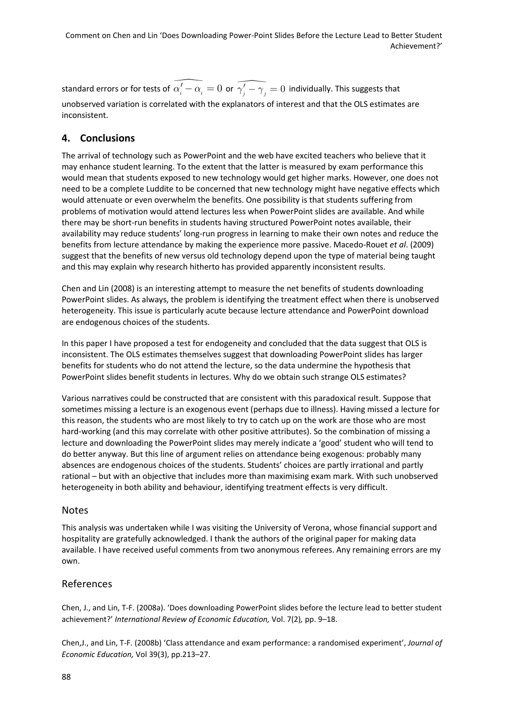standard errors or for tests of  $\widehat{\alpha_i'-\alpha_i}=0$  or  $\widehat{\gamma_j'-\gamma_j}=0$  individually. This suggests that unobserved variation is correlated with the explanators of interest and that the OLS estimates are inconsistent.

## 4. Conclusions

The arrival of technology such as PowerPoint and the web have excited teachers who believe that it may enhance student learning. To the extent that the latter is measured by exam performance this would mean that students exposed to new technology would get higher marks. However, one does not need to be a complete Luddite to be concerned that new technology might have negative effects which would attenuate or even overwhelm the benefits. One possibility is that students suffering from problems of motivation would attend lectures less when PowerPoint slides are available. And while there may be short-run benefits in students having structured PowerPoint notes available, their availability may reduce students' long-run progress in learning to make their own notes and reduce the benefits from lecture attendance by making the experience more passive. Macedo-Rouet et al. (2009) suggest that the benefits of new versus old technology depend upon the type of material being taught and this may explain why research hitherto has provided apparently inconsistent results.

Chen and Lin (2008) is an interesting attempt to measure the net benefits of students downloading PowerPoint slides. As always, the problem is identifying the treatment effect when there is unobserved heterogeneity. This issue is particularly acute because lecture attendance and PowerPoint download are endogenous choices of the students.

In this paper I have proposed a test for endogeneity and concluded that the data suggest that OLS is inconsistent. The OLS estimates themselves suggest that downloading PowerPoint slides has larger benefits for students who do not attend the lecture, so the data undermine the hypothesis that PowerPoint slides benefit students in lectures. Why do we obtain such strange OLS estimates?

Various narratives could be constructed that are consistent with this paradoxical result. Suppose that sometimes missing a lecture is an exogenous event (perhaps due to illness). Having missed a lecture for this reason, the students who are most likely to try to catch up on the work are those who are most hard-working (and this may correlate with other positive attributes). So the combination of missing a lecture and downloading the PowerPoint slides may merely indicate a 'good' student who will tend to do better anyway. But this line of argument relies on attendance being exogenous: probably many absences are endogenous choices of the students. Students' choices are partly irrational and partly rational – but with an objective that includes more than maximising exam mark. With such unobserved heterogeneity in both ability and behaviour, identifying treatment effects is very difficult.

#### Notes

This analysis was undertaken while I was visiting the University of Verona, whose financial support and hospitality are gratefully acknowledged. I thank the authors of the original paper for making data available. I have received useful comments from two anonymous referees. Any remaining errors are my own.

### References

Chen, J., and Lin, T-F. (2008a). 'Does downloading PowerPoint slides before the lecture lead to better student achievement?' International Review of Economic Education, Vol. 7(2), pp. 9–18.

Chen,J., and Lin, T-F. (2008b) 'Class attendance and exam performance: a randomised experiment', Journal of Economic Education, Vol 39(3), pp.213–27.